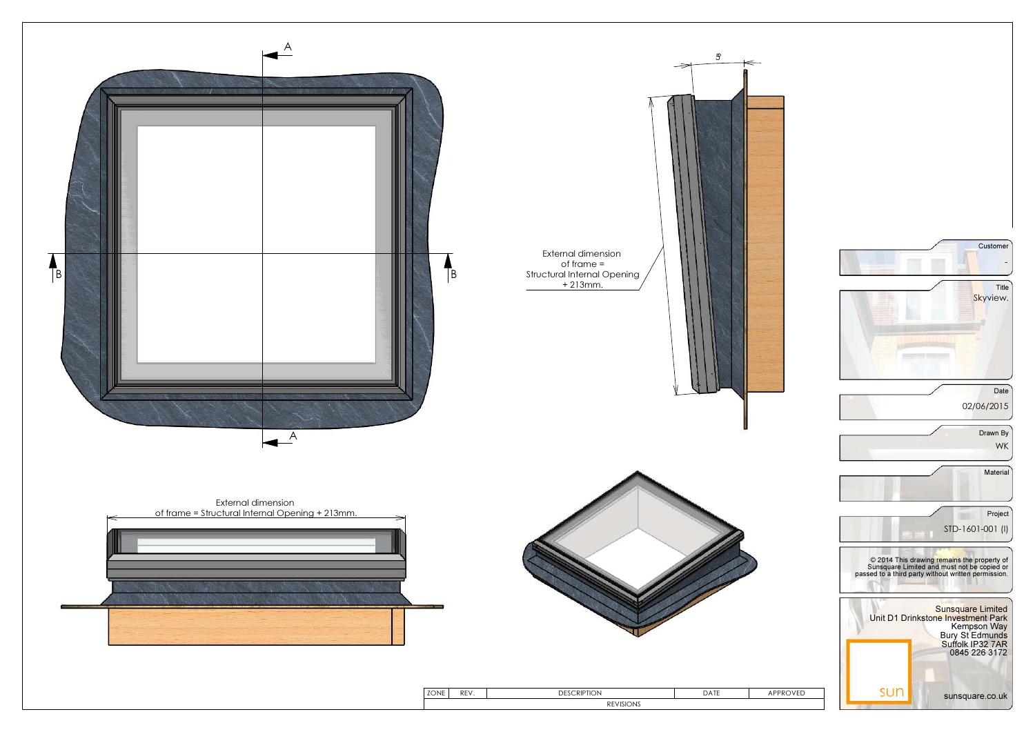

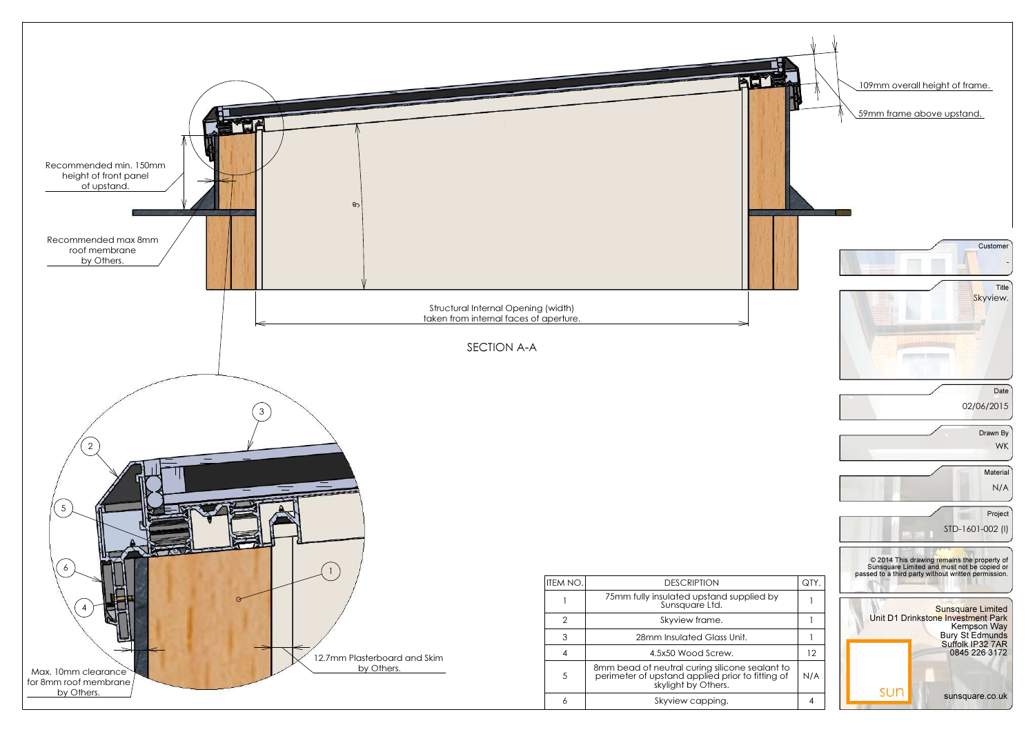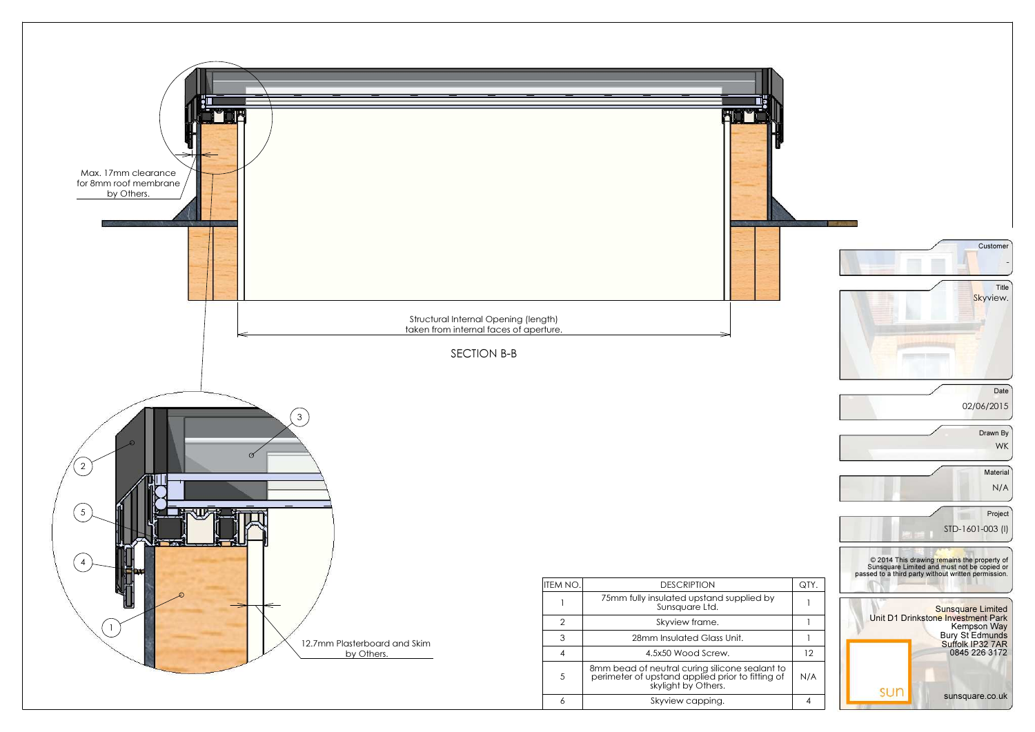